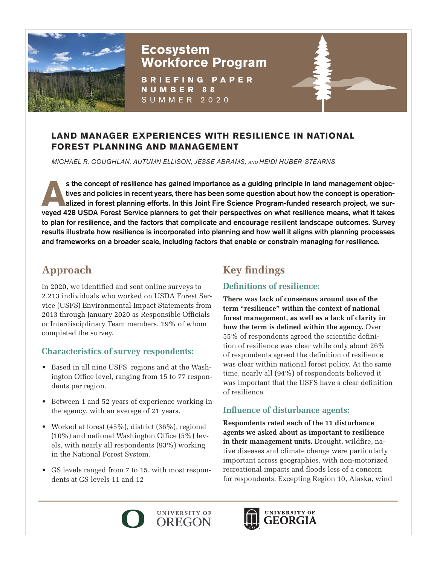

## **Ecosystem Workforce Program**

**BRIEFING PAPER NUMBER 88** SUMMER 2020

### **LAND MANAGER EXPERIENCES WITH RESILIENCE IN NATIONAL FOREST PLANNING AND MANAGEMENT**

*MICHAEL R. COUGHLAN, AUTUMN ELLISON, JESSE ABRAMS, AND HEIDI HUBER-STEARNS*

s the concept of resilience has gained importance as a guiding principle in land management objectives and policies in recent years, there has been some question about how the concept is operationalized in forest planning efforts. In this Joint Fire Science Program-funded research project, we surveyed 428 USDA Forest Service planners to get their perspectives on what resilience means, what it takes to plan for resilience, and the factors that complicate and encourage resilient landscape outcomes. Survey results illustrate how resilience is incorporated into planning and how well it aligns with planning processes and frameworks on a broader scale, including factors that enable or constrain managing for resilience.

## **Approach**

In 2020, we identified and sent online surveys to 2,213 individuals who worked on USDA Forest Service (USFS) Environmental Impact Statements from 2013 through January 2020 as Responsible Officials or Interdisciplinary Team members, 19% of whom completed the survey.

#### **Characteristics of survey respondents:**

- Based in all nine USFS regions and at the Washington Office level, ranging from 15 to 77 respondents per region.
- Between 1 and 52 years of experience working in the agency, with an average of 21 years.
- Worked at forest (45%), district (36%), regional (10%) and national Washington Office (5%) levels, with nearly all respondents (93%) working in the National Forest System.
- GS levels ranged from 7 to 15, with most respondents at GS levels 11 and 12

# **Key findings**

### **Definitions of resilience:**

**There was lack of consensus around use of the term "resilience" within the context of national forest management, as well as a lack of clarity in how the term is defined within the agency.** Over 55% of respondents agreed the scientific definition of resilience was clear while only about 26% of respondents agreed the definition of resilience was clear within national forest policy. At the same time, nearly all (94%) of respondents believed it was important that the USFS have a clear definition of resilience.

#### **Influence of disturbance agents:**

**Respondents rated each of the 11 disturbance agents we asked about as important to resilience in their management units.** Drought, wildfire, native diseases and climate change were particularly important across geographies, with non-motorized recreational impacts and floods less of a concern for respondents. Excepting Region 10, Alaska, wind